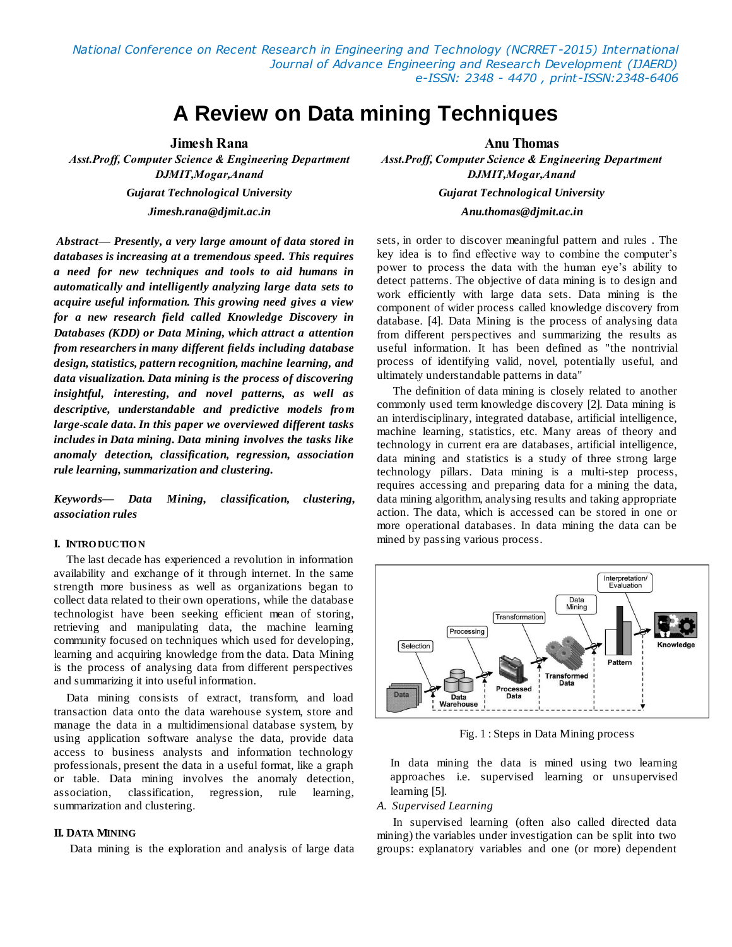*National Conference on Recent Research in Engineering and Technology (NCRRET -2015) International Journal of Advance Engineering and Research Development (IJAERD) e-ISSN: 2348 - 4470 , print-ISSN:2348-6406*

# **A Review on Data mining Techniques**

**Jimesh Rana Anu Thomas**

*Jimesh.rana@djmit.ac.in Anu.thomas@djmit.ac.in*

*Abstract— Presently, a very large amount of data stored in databases is increasing at a tremendous speed. This requires a need for new techniques and tools to aid humans in automatically and intelligently analyzing large data sets to acquire useful information. This growing need gives a view for a new research field called Knowledge Discovery in Databases (KDD) or Data Mining, which attract a attention from researchers in many different fields including database design, statistics, pattern recognition, machine learning, and data visualization. Data mining is the process of discovering insightful, interesting, and novel patterns, as well as descriptive, understandable and predictive models from large-scale data. In this paper we overviewed different tasks includes in Data mining. Data mining involves the tasks like anomaly detection, classification, regression, association rule learning, summarization and clustering.*

*Keywords— Data Mining, classification, clustering, association rules*

#### **I. INTRO DUCTIO N**

The last decade has experienced a revolution in information availability and exchange of it through internet. In the same strength more business as well as organizations began to collect data related to their own operations, while the database technologist have been seeking efficient mean of storing, retrieving and manipulating data, the machine learning community focused on techniques which used for developing, learning and acquiring knowledge from the data. Data Mining is the process of analysing data from different perspectives and summarizing it into useful information.

Data mining consists of extract, transform, and load transaction data onto the data warehouse system, store and manage the data in a multidimensional database system, by using application software analyse the data, provide data access to business analysts and information technology professionals, present the data in a useful format, like a graph or table. Data mining involves the anomaly detection, association, classification, regression, rule learning, summarization and clustering.

## **II. DATA MINING**

Data mining is the exploration and analysis of large data

*Asst.Proff, Computer Science & Engineering Department Asst.Proff, Computer Science & Engineering Department DJMIT,Mogar,Anand DJMIT,Mogar,Anand Gujarat Technological University Gujarat Technological University*

> sets, in order to discover meaningful pattern and rules . The key idea is to find effective way to combine the computer's power to process the data with the human eye's ability to detect patterns. The objective of data mining is to design and work efficiently with large data sets. Data mining is the component of wider process called knowledge discovery from database. [4]. Data Mining is the process of analysing data from different perspectives and summarizing the results as useful information. It has been defined as "the nontrivial process of identifying valid, novel, potentially useful, and ultimately understandable patterns in data"

> The definition of data mining is closely related to another commonly used term knowledge discovery [2]. Data mining is an interdisciplinary, integrated database, artificial intelligence, machine learning, statistics, etc. Many areas of theory and technology in current era are databases, artificial intelligence, data mining and statistics is a study of three strong large technology pillars. Data mining is a multi-step process, requires accessing and preparing data for a mining the data, data mining algorithm, analysing results and taking appropriate action. The data, which is accessed can be stored in one or more operational databases. In data mining the data can be mined by passing various process.



Fig. 1 : Steps in Data Mining process

In data mining the data is mined using two learning approaches i.e. supervised learning or unsupervised learning [5].

#### *A. Supervised Learning*

In supervised learning (often also called directed data mining) the variables under investigation can be split into two groups: explanatory variables and one (or more) dependent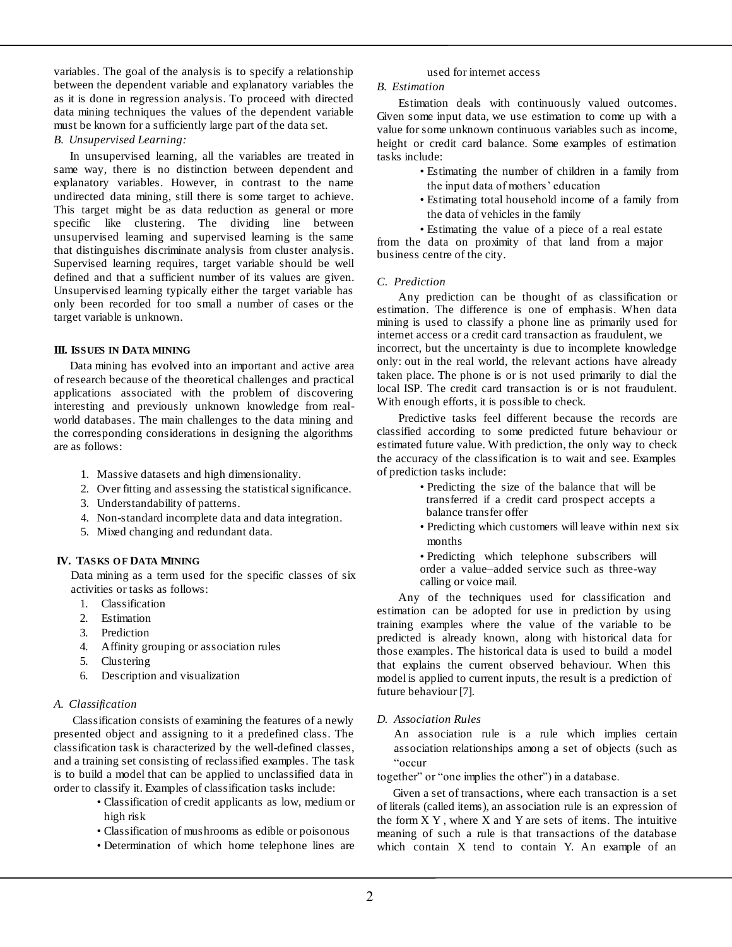variables. The goal of the analysis is to specify a relationship between the dependent variable and explanatory variables the as it is done in regression analysis. To proceed with directed data mining techniques the values of the dependent variable must be known for a sufficiently large part of the data set.

## *B. Unsupervised Learning:*

In unsupervised learning, all the variables are treated in same way, there is no distinction between dependent and explanatory variables. However, in contrast to the name undirected data mining, still there is some target to achieve. This target might be as data reduction as general or more specific like clustering. The dividing line between unsupervised learning and supervised learning is the same that distinguishes discriminate analysis from cluster analysis. Supervised learning requires, target variable should be well defined and that a sufficient number of its values are given. Unsupervised learning typically either the target variable has only been recorded for too small a number of cases or the target variable is unknown.

#### **III. ISSUES IN DATA MINING**

Data mining has evolved into an important and active area of research because of the theoretical challenges and practical applications associated with the problem of discovering interesting and previously unknown knowledge from realworld databases. The main challenges to the data mining and the corresponding considerations in designing the algorithms are as follows:

- 1. Massive datasets and high dimensionality.
- 2. Over fitting and assessing the statistical significance.
- 3. Understandability of patterns.
- 4. Non-standard incomplete data and data integration.
- 5. Mixed changing and redundant data.

## **IV. TASKS O F DATA MINING**

Data mining as a term used for the specific classes of six activities or tasks as follows:

- 1. Classification
- 2. Estimation
- 3. Prediction
- 4. Affinity grouping or association rules
- 5. Clustering
- 6. Description and visualization

#### *A. Classification*

֡֡֡֡֡

Classification consists of examining the features of a newly presented object and assigning to it a predefined class. The classification task is characterized by the well-defined classes, and a training set consisting of reclassified examples. The task is to build a model that can be applied to unclassified data in order to classify it. Examples of classification tasks include:

- Classification of credit applicants as low, medium or high risk
- Classification of mushrooms as edible or poisonous
- Determination of which home telephone lines are

#### used for internet access

# *B. Estimation*

Estimation deals with continuously valued outcomes. Given some input data, we use estimation to come up with a value for some unknown continuous variables such as income, height or credit card balance. Some examples of estimation tasks include:

- Estimating the number of children in a family from the input data of mothers' education
- Estimating total household income of a family from the data of vehicles in the family

• Estimating the value of a piece of a real estate from the data on proximity of that land from a major business centre of the city.

#### *C. Prediction*

Any prediction can be thought of as classification or estimation. The difference is one of emphasis. When data mining is used to classify a phone line as primarily used for internet access or a credit card transaction as fraudulent, we incorrect, but the uncertainty is due to incomplete knowledge only: out in the real world, the relevant actions have already taken place. The phone is or is not used primarily to dial the local ISP. The credit card transaction is or is not fraudulent. With enough efforts, it is possible to check.

Predictive tasks feel different because the records are classified according to some predicted future behaviour or estimated future value. With prediction, the only way to check the accuracy of the classification is to wait and see. Examples of prediction tasks include:

- Predicting the size of the balance that will be transferred if a credit card prospect accepts a balance transfer offer
- Predicting which customers will leave within next six months
- Predicting which telephone subscribers will order a value–added service such as three-way calling or voice mail.

Any of the techniques used for classification and estimation can be adopted for use in prediction by using training examples where the value of the variable to be predicted is already known, along with historical data for those examples. The historical data is used to build a model that explains the current observed behaviour. When this model is applied to current inputs, the result is a prediction of future behaviour [7].

## *D. Association Rules*

An association rule is a rule which implies certain association relationships among a set of objects (such as "occur

together" or "one implies the other") in a database.

Given a set of transactions, where each transaction is a set of literals (called items), an association rule is an expression of the form  $X$   $Y$ , where  $X$  and  $Y$  are sets of items. The intuitive meaning of such a rule is that transactions of the database which contain X tend to contain Y. An example of an